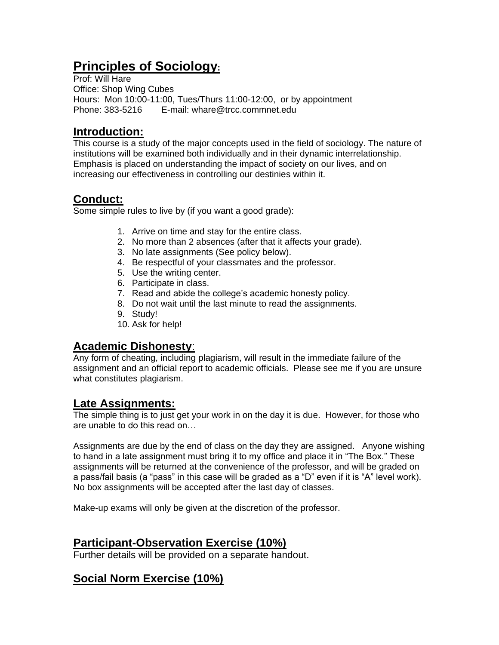# **Principles of Sociology:**

Prof: Will Hare Office: Shop Wing Cubes Hours: Mon 10:00-11:00, Tues/Thurs 11:00-12:00, or by appointment Phone: 383-5216 E-mail: whare@trcc.commnet.edu

## **Introduction:**

This course is a study of the major concepts used in the field of sociology. The nature of institutions will be examined both individually and in their dynamic interrelationship. Emphasis is placed on understanding the impact of society on our lives, and on increasing our effectiveness in controlling our destinies within it.

# **Conduct:**

Some simple rules to live by (if you want a good grade):

- 1. Arrive on time and stay for the entire class.
- 2. No more than 2 absences (after that it affects your grade).
- 3. No late assignments (See policy below).
- 4. Be respectful of your classmates and the professor.
- 5. Use the writing center.
- 6. Participate in class.
- 7. Read and abide the college's academic honesty policy.
- 8. Do not wait until the last minute to read the assignments.
- 9. Study!
- 10. Ask for help!

## **Academic Dishonesty**:

Any form of cheating, including plagiarism, will result in the immediate failure of the assignment and an official report to academic officials. Please see me if you are unsure what constitutes plagiarism.

## **Late Assignments:**

The simple thing is to just get your work in on the day it is due. However, for those who are unable to do this read on…

Assignments are due by the end of class on the day they are assigned. Anyone wishing to hand in a late assignment must bring it to my office and place it in "The Box." These assignments will be returned at the convenience of the professor, and will be graded on a pass/fail basis (a "pass" in this case will be graded as a "D" even if it is "A" level work). No box assignments will be accepted after the last day of classes.

Make-up exams will only be given at the discretion of the professor.

## **Participant-Observation Exercise (10%)**

Further details will be provided on a separate handout.

# **Social Norm Exercise (10%)**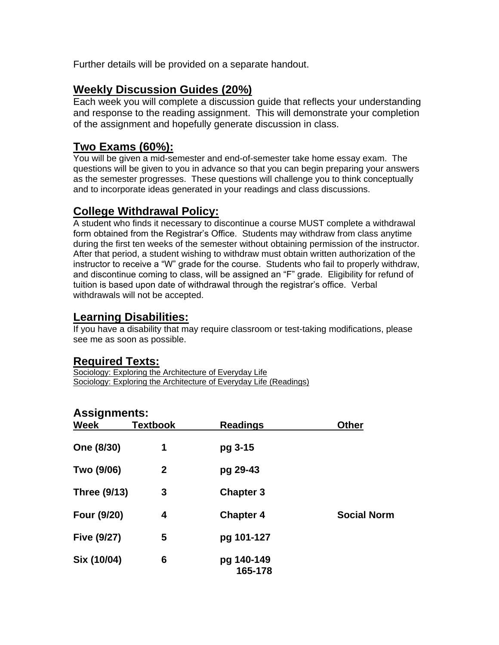Further details will be provided on a separate handout.

#### **Weekly Discussion Guides (20%)**

Each week you will complete a discussion guide that reflects your understanding and response to the reading assignment. This will demonstrate your completion of the assignment and hopefully generate discussion in class.

## **Two Exams (60%):**

You will be given a mid-semester and end-of-semester take home essay exam. The questions will be given to you in advance so that you can begin preparing your answers as the semester progresses. These questions will challenge you to think conceptually and to incorporate ideas generated in your readings and class discussions.

## **College Withdrawal Policy:**

A student who finds it necessary to discontinue a course MUST complete a withdrawal form obtained from the Registrar's Office. Students may withdraw from class anytime during the first ten weeks of the semester without obtaining permission of the instructor. After that period, a student wishing to withdraw must obtain written authorization of the instructor to receive a "W" grade for the course. Students who fail to properly withdraw, and discontinue coming to class, will be assigned an "F" grade. Eligibility for refund of tuition is based upon date of withdrawal through the registrar's office. Verbal withdrawals will not be accepted.

## **Learning Disabilities:**

If you have a disability that may require classroom or test-taking modifications, please see me as soon as possible.

#### **Required Texts:**

Sociology: Exploring the Architecture of Everyday Life Sociology: Exploring the Architecture of Everyday Life (Readings)

#### **Assignments:**

| <b>Week</b>         | <b>Textbook</b> | <b>Readings</b>       | <b>Other</b>       |
|---------------------|-----------------|-----------------------|--------------------|
| One (8/30)          | 1               | pg 3-15               |                    |
| Two (9/06)          | $\mathbf{2}$    | pg 29-43              |                    |
| <b>Three (9/13)</b> | 3               | <b>Chapter 3</b>      |                    |
| Four (9/20)         | 4               | <b>Chapter 4</b>      | <b>Social Norm</b> |
| <b>Five (9/27)</b>  | 5               | pg 101-127            |                    |
| Six (10/04)         | 6               | pg 140-149<br>165-178 |                    |